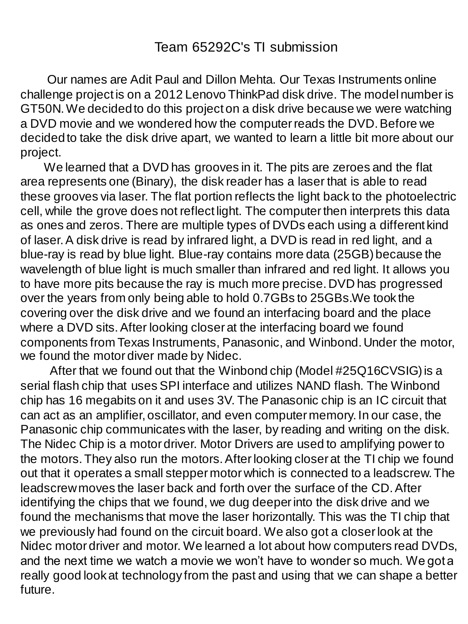Our names are Adit Paul and Dillon Mehta. Our Texas Instruments online challenge project is on a 2012 Lenovo ThinkPad disk drive. The model number is GT50N. We decided to do this project on a disk drive because we were watching a DVD movie and we wondered how the computer reads the DVD.Before we decided to take the disk drive apart, we wanted to learn a little bit more about our project.

We learned that a DVD has grooves in it. The pits are zeroes and the flat area represents one (Binary), the disk reader has a laser that is able to read these grooves via laser. The flat portion reflects the light back to the photoelectric cell, while the grove does not reflect light. The computer then interprets this data as ones and zeros. There are multiple types of DVDs each using a different kind of laser. A disk drive is read by infrared light, a DVD is read in red light, and a blue-ray is read by blue light. Blue-ray contains more data (25GB) because the wavelength of blue light is much smaller than infrared and red light. It allows you to have more pits because the ray is much more precise. DVD has progressed over the years from only being able to hold 0.7GBs to 25GBs.We took the covering over the disk drive and we found an interfacing board and the place where a DVD sits. After looking closer at the interfacing board we found components from Texas Instruments, Panasonic, and Winbond. Under the motor, we found the motor diver made by Nidec.

After that we found out that the Winbond chip (Model #25Q16CVSIG) is a serial flash chip that uses SPI interface and utilizes NAND flash. The Winbond chip has 16 megabits on it and uses 3V. The Panasonic chip is an IC circuit that can act as an amplifier, oscillator, and even computer memory. In our case, the Panasonic chip communicates with the laser, by reading and writing on the disk. The Nidec Chip is a motor driver. Motor Drivers are used to amplifying power to the motors. They also run the motors. After looking closer at the TI chip we found out that it operates a small stepper motor which is connected to a leadscrew. The leadscrew moves the laser back and forth over the surface of the CD. After identifying the chips that we found, we dug deeper into the disk drive and we found the mechanisms that move the laser horizontally. This was the TI chip that we previously had found on the circuit board. We also got a closer look at the Nidec motor driver and motor. We learned a lot about how computers read DVDs, and the next time we watch a movie we won't have to wonder so much. We got a really good look at technology from the past and using that we can shape a better future.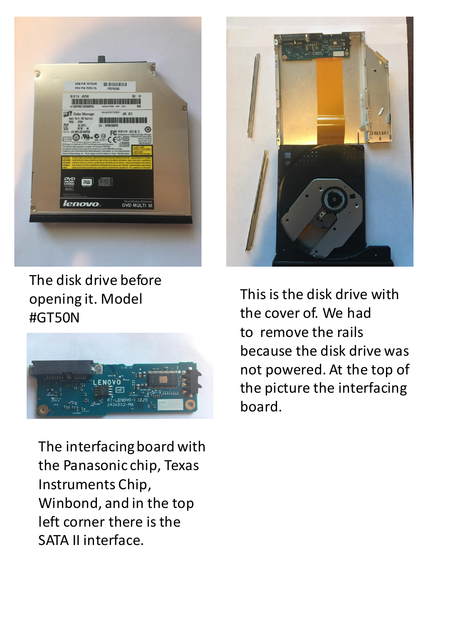

The disk drive before opening it. Model #GT50N



The interfacing board with the Panasonic chip, Texas Instruments Chip, Winbond, and in the top left corner there is the SATA II interface.



This is the disk drive with the cover of. We had to remove the rails because the disk drive was not powered. At the top of the picture the interfacing board.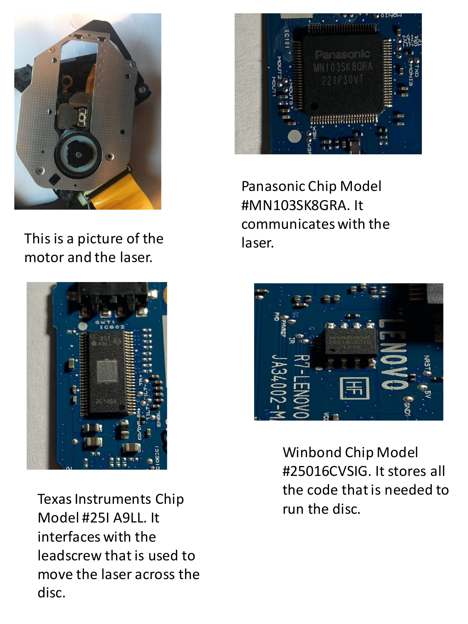

This is a picture of the motor and the laser.



Texas Instruments Chip Model #25I A9LL. It interfaces with the leadscrew that is used to move the laser across the disc.



Panasonic Chip Model #MN103SK8GRA. It communicates with the laser.



Winbond Chip Model #25016CVSIG. It stores all the code that is needed to run the disc.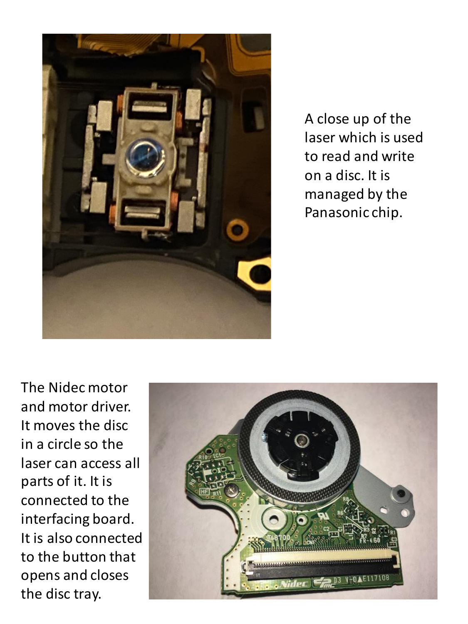

A close up of the laser which is used to read and write on a disc. It is managed by the Panasonic chip.

The Nidec motor and motor driver. It moves the disc in a circle so the laser can access all parts of it. It is connected to the interfacing board. It is also connected to the button that opens and closes the disc tray.